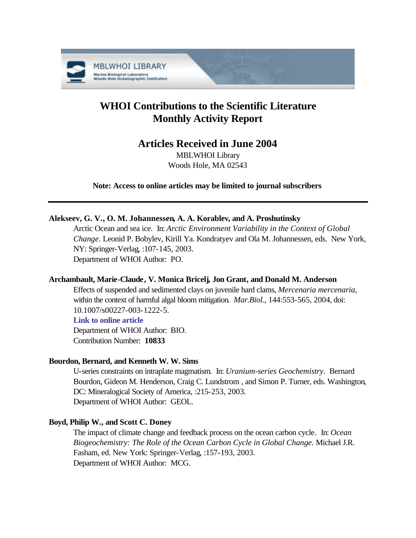

# **WHOI Contributions to the Scientific Literature Monthly Activity Report**

## **Articles Received in June 2004**

MBLWHOI Library Woods Hole, MA 02543

**Note: Access to online articles may be limited to journal subscribers**

## **Alekseev, G. V., O. M. Johannessen, A. A. Korablev, and A. Proshutinsky**

Arctic Ocean and sea ice. In: *Arctic Environment Variability in the Context of Global Change.* Leonid P. Bobylev, Kirill Ya. Kondratyev and Ola M. Johannessen, eds. New York, NY: Springer-Verlag, :107-145, 2003. Department of WHOI Author: PO.

## **Archambault, Marie-Claude, V. Monica Bricelj, Jon Grant, and Donald M. Anderson**

Effects of suspended and sedimented clays on juvenile hard clams, *Mercenaria mercenaria*, within the context of harmful algal bloom mitigation. *Mar.Biol.*, 144:553-565, 2004, doi: 10.1007/s00227-003-1222-5.

## **[Link to online article](http://dx.doi.org/10.1007/s00227-003-1222-5)**

Department of WHOI Author: BIO. Contribution Number: **10833**

## **Bourdon, Bernard, and Kenneth W. W. Sims**

U-series constraints on intraplate magmatism. In: *Uranium-series Geochemistry*. Bernard Bourdon, Gideon M. Henderson, Craig C. Lundstrom , and Simon P. Turner, eds. Washington, DC: Mineralogical Society of America, :215-253, 2003. Department of WHOI Author: GEOL.

## **Boyd, Philip W., and Scott C. Doney**

The impact of climate change and feedback process on the ocean carbon cycle. In: *Ocean Biogeochemistry: The Role of the Ocean Carbon Cycle in Global Change.* Michael J.R. Fasham, ed. New York: Springer-Verlag, :157-193, 2003. Department of WHOI Author: MCG.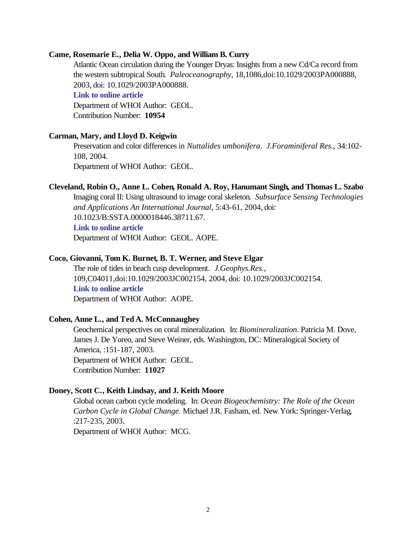#### **Came, Rosemarie E., Delia W. Oppo, and William B. Curry**

Atlantic Ocean circulation during the Younger Dryas: Insights from a new Cd/Ca record from the western subtropical South. *Paleoceanography*, 18,1086,doi:10.1029/2003PA000888, 2003, doi: 10.1029/2003PA000888.

#### **[Link to online article](http://dx.doi.org/10.1029/2003PA000888)**

Department of WHOI Author: GEOL. Contribution Number: **10954**

#### **Carman, Mary, and Lloyd D. Keigwin**

Preservation and color differences in *Nuttalides umbonifera*. *J.Foraminiferal Res.*, 34:102- 108, 2004. Department of WHOI Author: GEOL.

#### **Cleveland, Robin O., Anne L. Cohen, Ronald A. Roy, Hanumant Singh, and Thomas L. Szabo**

Imaging coral II: Using ultrasound to image coral skeleton. *Subsurface Sensing Technologies and Applications An International Journal*, 5:43-61, 2004, doi: 10.1023/B:SSTA.0000018446.38711.67.

#### **[Link to online article](http://dx.doi.org/10.1023/B:SSTA.0000018446.38711.67)**

Department of WHOI Author: GEOL. AOPE.

#### **Coco, Giovanni, Tom K. Burnet, B. T. Werner, and Steve Elgar**

The role of tides in beach cusp development. *J.Geophys.Res.*, 109,C04011,doi:10.1029/2003JC002154, 2004, doi: 10.1029/2003JC002154. **[Link to online article](http://dx.doi.org/10.1029/2003JC002154)** Department of WHOI Author: AOPE.

#### **Cohen, Anne L., and Ted A. McConnaughey**

Geochemical perspectives on coral mineralization. In: *Biomineralization*. Patricia M. Dove, James J. De Yoreo, and Steve Weiner, eds. Washington, DC: Mineralogical Society of America, :151-187, 2003. Department of WHOI Author: GEOL. Contribution Number: **11027**

#### **Doney, Scott C., Keith Lindsay, and J. Keith Moore**

Global ocean carbon cycle modeling. In: *Ocean Biogeochemistry: The Role of the Ocean Carbon Cycle in Global Change.* Michael J.R. Fasham, ed. New York: Springer-Verlag, :217-235, 2003.

Department of WHOI Author: MCG.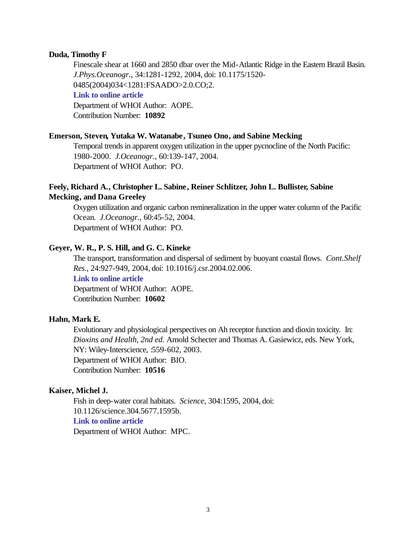#### **Duda, Timothy F**

Finescale shear at 1660 and 2850 dbar over the Mid-Atlantic Ridge in the Eastern Brazil Basin. *J.Phys.Oceanogr.*, 34:1281-1292, 2004, doi: 10.1175/1520- 0485(2004)034<1281:FSAADO>2.0.CO;2.

## **[Link to online article](http://dx.doi.org/10.1175/1520-0485(2004)034<1281:FSAADO>2.0.CO;2)**

Department of WHOI Author: AOPE. Contribution Number: **10892**

#### **Emerson, Steven, Yutaka W. Watanabe, Tsuneo Ono, and Sabine Mecking**

Temporal trends in apparent oxygen utilization in the upper pycnocline of the North Pacific: 1980-2000. *J.Oceanogr.*, 60:139-147, 2004. Department of WHOI Author: PO.

## **Feely, Richard A., Christopher L. Sabine, Reiner Schlitzer, John L. Bullister, Sabine Mecking, and Dana Greeley**

Oxygen utilization and organic carbon remineralization in the upper water column of the Pacific Ocean. *J.Oceanogr.*, 60:45-52, 2004. Department of WHOI Author: PO.

#### **Geyer, W. R., P. S. Hill, and G. C. Kineke**

The transport, transformation and dispersal of sediment by buoyant coastal flows. *Cont.Shelf Res.*, 24:927-949, 2004, doi: 10.1016/j.csr.2004.02.006.

**[Link to online article](http://dx.doi.org/10.1016/j.csr.2004.02.006)**

Department of WHOI Author: AOPE. Contribution Number: **10602**

#### **Hahn, Mark E.**

Evolutionary and physiological perspectives on Ah receptor function and dioxin toxicity. In: *Dioxins and Health, 2nd ed.* Arnold Schecter and Thomas A. Gasiewicz, eds. New York, NY: Wiley-Interscience, :559-602, 2003. Department of WHOI Author: BIO. Contribution Number: **10516**

#### **Kaiser, Michel J.**

Fish in deep-water coral habitats. *Science*, 304:1595, 2004, doi: 10.1126/science.304.5677.1595b. **[Link to online article](http://dx.doi.org/10.1126/science.304.5677.1595b)** Department of WHOI Author: MPC.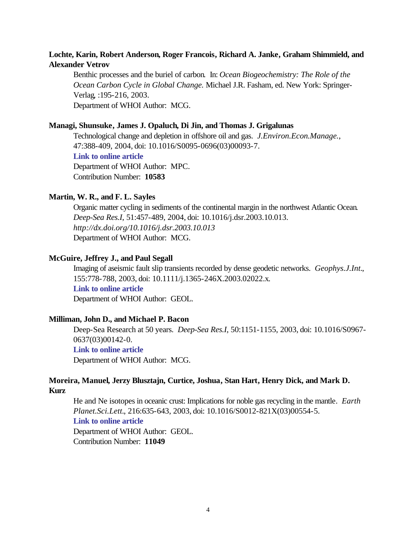## **Lochte, Karin, Robert Anderson, Roger Francois, Richard A. Janke, Graham Shimmield, and Alexander Vetrov**

Benthic processes and the buriel of carbon. In: *Ocean Biogeochemistry: The Role of the Ocean Carbon Cycle in Global Change.* Michael J.R. Fasham, ed. New York: Springer-Verlag, :195-216, 2003. Department of WHOI Author: MCG.

## **Managi, Shunsuke, James J. Opaluch, Di Jin, and Thomas J. Grigalunas**

Technological change and depletion in offshore oil and gas. *J.Environ.Econ.Manage.*, 47:388-409, 2004, doi: 10.1016/S0095-0696(03)00093-7. **[Link to online article](http://dx.doi.org/10.1016/S0095-0696(03)00093-7)**

Department of WHOI Author: MPC. Contribution Number: **10583**

#### **Martin, W. R., and F. L. Sayles**

Organic matter cycling in sediments of the continental margin in the northwest Atlantic Ocean. *Deep-Sea Res.I*, 51:457-489, 2004, doi: 10.1016/j.dsr.2003.10.013. *http://dx.doi.org/10.1016/j.dsr.2003.10.013* Department of WHOI Author: MCG.

#### **McGuire, Jeffrey J., and Paul Segall**

Imaging of aseismic fault slip transients recorded by dense geodetic networks. *Geophys.J.Int.*, 155:778-788, 2003, doi: 10.1111/j.1365-246X.2003.02022.x. **[Link to online article](http://dx.doi.org/10.1111/j.1365-246X.2003.02022.x)** Department of WHOI Author: GEOL.

#### **Milliman, John D., and Michael P. Bacon**

Deep-Sea Research at 50 years. *Deep-Sea Res.I*, 50:1151-1155, 2003, doi: 10.1016/S0967- 0637(03)00142-0.

**[Link to online article](http://dx.doi.org/10.1016/S0967-0637(03)00142-0)**

Department of WHOI Author: MCG.

#### **Moreira, Manuel, Jerzy Blusztajn, Curtice, Joshua, Stan Hart, Henry Dick, and Mark D. Kurz**

He and Ne isotopes in oceanic crust: Implications for noble gas recycling in the mantle. *Earth Planet.Sci.Lett.*, 216:635-643, 2003, doi: 10.1016/S0012-821X(03)00554-5. **[Link to online article](http://dx.doi.org/10.1016/S0012-821X(03)00554-5)**

Department of WHOI Author: GEOL. Contribution Number: **11049**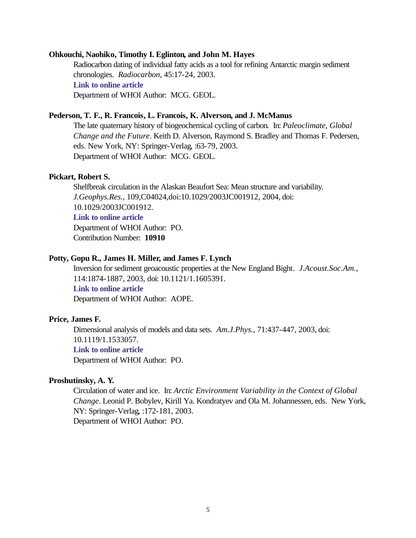#### **Ohkouchi, Naohiko, Timothy I. Eglinton, and John M. Hayes**

Radiocarbon dating of individual fatty acids as a tool for refining Antarctic margin sediment chronologies. *Radiocarbon*, 45:17-24, 2003. **[Link to online article](http://puck.ingentaselect.com/vl=6959569/cl=60/nw=1/rpsv/cw/arizona/00338222/v45n1/s5/p17)** Department of WHOI Author: MCG. GEOL.

#### **Pederson, T. F., R. Francois, L. Francois, K. Alverson, and J. McManus**

The late quaternary history of biogeochemical cycling of carbon. In: *Paleoclimate, Global Change and the Future*. Keith D. Alverson, Raymond S. Bradley and Thomas F. Pedersen, eds. New York, NY: Springer-Verlag, :63-79, 2003. Department of WHOI Author: MCG. GEOL.

#### **Pickart, Robert S.**

Shelfbreak circulation in the Alaskan Beaufort Sea: Mean structure and variability. *J.Geophys.Res.*, 109,C04024,doi:10.1029/2003JC001912, 2004, doi: 10.1029/2003JC001912.

## **[Link to online article](http://dx.doi.org/10.1029/2003JC001912)**

Department of WHOI Author: PO. Contribution Number: **10910**

#### **Potty, Gopu R., James H. Miller, and James F. Lynch**

Inversion for sediment geoacoustic properties at the New England Bight. *J.Acoust.Soc.Am.*, 114:1874-1887, 2003, doi: 10.1121/1.1605391. **[Link to online article](http://dx.doi.org/10.1121/1.1605391)** Department of WHOI Author: AOPE.

#### **Price, James F.**

Dimensional analysis of models and data sets. *Am.J.Phys.*, 71:437-447, 2003, doi: 10.1119/1.1533057.

## **[Link to online article](http://dx.doi.org/10.1119/1.1533057)**

Department of WHOI Author: PO.

#### **Proshutinsky, A. Y.**

Circulation of water and ice. In: *Arctic Environment Variability in the Context of Global Change*. Leonid P. Bobylev, Kirill Ya. Kondratyev and Ola M. Johannessen, eds. New York, NY: Springer-Verlag, :172-181, 2003. Department of WHOI Author: PO.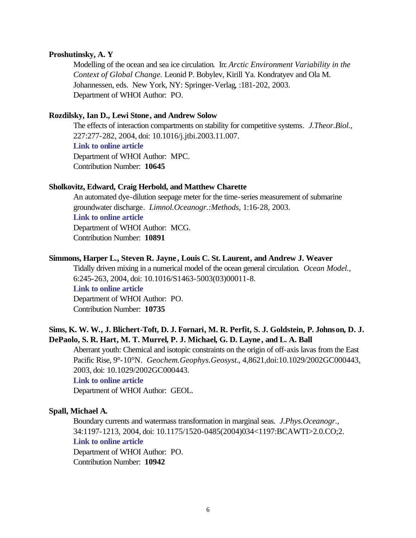#### **Proshutinsky, A. Y**

Modelling of the ocean and sea ice circulation. In: *Arctic Environment Variability in the Context of Global Change.* Leonid P. Bobylev, Kirill Ya. Kondratyev and Ola M. Johannessen, eds. New York, NY: Springer-Verlag, :181-202, 2003. Department of WHOI Author: PO.

#### **Rozdilsky, Ian D., Lewi Stone, and Andrew Solow**

The effects of interaction compartments on stability for competitive systems. *J.Theor.Biol.*, 227:277-282, 2004, doi: 10.1016/j.jtbi.2003.11.007.

**[Link to online article](http://dx.doi.org/10.1016/j.jtbi.2003.11.007)**

Department of WHOI Author: MPC. Contribution Number: **10645**

#### **Sholkovitz, Edward, Craig Herbold, and Matthew Charette**

An automated dye-dilution seepage meter for the time-series measurement of submarine groundwater discharge. *Limnol.Oceanogr.:Methods*, 1:16-28, 2003. **[Link to online article](http://www.aslo.org/lomethods/free/2003/0016.pdf)** Department of WHOI Author: MCG.

Contribution Number: **10891**

## **Simmons, Harper L., Steven R. Jayne , Louis C. St. Laurent, and Andrew J. Weaver**

Tidally driven mixing in a numerical model of the ocean general circulation. *Ocean Model.*, 6:245-263, 2004, doi: 10.1016/S1463-5003(03)00011-8. **[Link to online article](http://dx.doi.org/10.1016/S1463-5003(03)00011-8)** Department of WHOI Author: PO. Contribution Number: **10735**

## **Sims, K. W. W., J. Blichert-Toft, D. J. Fornari, M. R. Perfit, S. J. Goldstein, P. Johnson, D. J. DePaolo, S. R. Hart, M. T. Murrel, P. J. Michael, G. D. Layne, and L. A. Ball**

Aberrant youth: Chemical and isotopic constraints on the origin of off-axis lavas from the East Pacific Rise, 9°-10°N. *Geochem.Geophys.Geosyst.*, 4,8621,doi:10.1029/2002GC000443, 2003, doi: 10.1029/2002GC000443.

#### **[Link to online article](http://dx.doi.org/10.1029/2002GC000443)**

Department of WHOI Author: GEOL.

#### **Spall, Michael A.**

Boundary currents and watermass transformation in marginal seas. *J.Phys.Oceanogr.*, 34:1197-1213, 2004, doi: 10.1175/1520-0485(2004)034<1197:BCAWTI>2.0.CO;2. **[Link to online article](http://dx.doi.org/10.1175/1520-0485(2004)034<1197:BCAWTI>2.0.CO;2)**

Department of WHOI Author: PO. Contribution Number: **10942**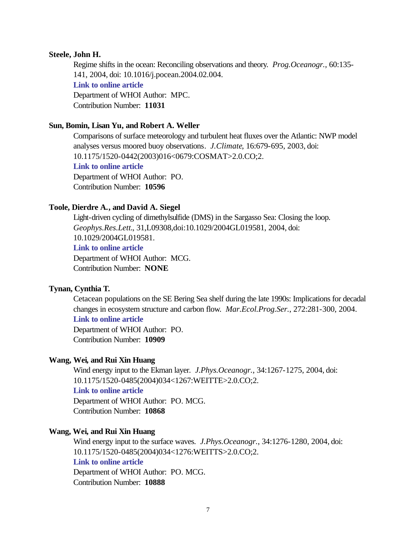#### **Steele, John H.**

Regime shifts in the ocean: Reconciling observations and theory. *Prog.Oceanogr.*, 60:135- 141, 2004, doi: 10.1016/j.pocean.2004.02.004. **[Link to online article](http://dx.doi.org/10.1016/j.pocean.2004.02.004)** Department of WHOI Author: MPC. Contribution Number: **11031**

## **Sun, Bomin, Lisan Yu, and Robert A. Weller**

Comparisons of surface meteorology and turbulent heat fluxes over the Atlantic: NWP model analyses versus moored buoy observations. *J.Climate*, 16:679-695, 2003, doi: 10.1175/1520-0442(2003)016<0679:COSMAT>2.0.CO;2. **[Link to online article](http://dx.doi.org/10.1175/1520-0442(2003)016<0679:COSMAT>2.0.CO;2)** Department of WHOI Author: PO. Contribution Number: **10596**

#### **Toole, Dierdre A., and David A. Siegel**

Light-driven cycling of dimethylsulfide (DMS) in the Sargasso Sea: Closing the loop. *Geophys.Res.Lett.*, 31,L09308,doi:10.1029/2004GL019581, 2004, doi: 10.1029/2004GL019581.

### **[Link to online article](http://dx.doi.org/10.1029/2004GL019581)**

Department of WHOI Author: MCG. Contribution Number: **NONE**

## **Tynan, Cynthia T.**

Cetacean populations on the SE Bering Sea shelf during the late 1990s: Implications for decadal changes in ecosystem structure and carbon flow. *Mar.Ecol.Prog.Ser.*, 272:281-300, 2004.

## **[Link to online article](http://www.int-res.com/articles/meps2004/272/m272p281.pdf)**

Department of WHOI Author: PO. Contribution Number: **10909**

#### **Wang, Wei, and Rui Xin Huang**

Wind energy input to the Ekman layer. *J.Phys.Oceanogr.*, 34:1267-1275, 2004, doi: 10.1175/1520-0485(2004)034<1267:WEITTE>2.0.CO;2. **[Link to online article](http://dx.doi.org/10.1175/1520-0485(2004)034<1267:WEITTE>2.0.CO;2)**

Department of WHOI Author: PO. MCG. Contribution Number: **10868**

#### **Wang, Wei, and Rui Xin Huang**

Wind energy input to the surface waves. *J.Phys.Oceanogr.*, 34:1276-1280, 2004, doi: 10.1175/1520-0485(2004)034<1276:WEITTS>2.0.CO;2. **[Link to online article](http://dx.doi.org/10.1175/1520-0485(2004)034<1276:WEITTS>2.0.CO;2)** Department of WHOI Author: PO. MCG. Contribution Number: **10888**